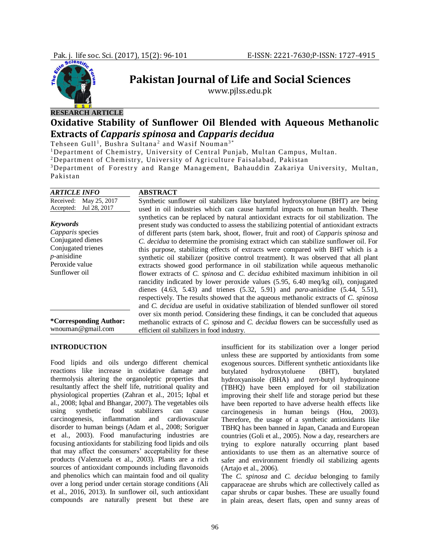

# **Pakistan Journal of Life and Social Sciences**

www.pjlss.edu.pk

# **RESEARCH ARTICLE Oxidative Stability of Sunflower Oil Blended with Aqueous Methanolic Extracts of** *Capparis spinosa* **and** *Capparis decidua*

Tehseen Gull<sup>1</sup>, Bushra Sultana<sup>2</sup> and Wasif Nouman<sup>3\*</sup>

<sup>1</sup>Department of Chemistry, University of Central Punjab, Multan Campus, Multan.

<sup>2</sup>Department of Chemistry, University of Agriculture Faisalabad, Pakistan

<sup>3</sup>Department of Forestry and Range Management, Bahauddin Zakariya University, Multan, Pakistan

| <b>ARTICLE INFO</b>                                                                                                                 | <b>ABSTRACT</b>                                                                                                                                                                                                                                                                                                                                                                                                                                                                                                                                                                                                                                                                                                                                                                                                |
|-------------------------------------------------------------------------------------------------------------------------------------|----------------------------------------------------------------------------------------------------------------------------------------------------------------------------------------------------------------------------------------------------------------------------------------------------------------------------------------------------------------------------------------------------------------------------------------------------------------------------------------------------------------------------------------------------------------------------------------------------------------------------------------------------------------------------------------------------------------------------------------------------------------------------------------------------------------|
| May 25, 2017<br>Received:                                                                                                           | Synthetic sunflower oil stabilizers like butylated hydroxytoluene (BHT) are being                                                                                                                                                                                                                                                                                                                                                                                                                                                                                                                                                                                                                                                                                                                              |
| Jul 28, 2017<br>Accepted:                                                                                                           | used in oil industries which can cause harmful impacts on human health. These                                                                                                                                                                                                                                                                                                                                                                                                                                                                                                                                                                                                                                                                                                                                  |
| <b>Keywords</b><br>Capparis species<br>Conjugated dienes<br>Conjugated trienes<br>$p$ -anisidine<br>Peroxide value<br>Sunflower oil | synthetics can be replaced by natural antioxidant extracts for oil stabilization. The<br>present study was conducted to assess the stabilizing potential of antioxidant extracts<br>of different parts (stem bark, shoot, flower, fruit and root) of <i>Capparis spinosa</i> and<br>C. decidua to determine the promising extract which can stabilize sunflower oil. For<br>this purpose, stabilizing effects of extracts were compared with BHT which is a<br>synthetic oil stabilizer (positive control treatment). It was observed that all plant<br>extracts showed good performance in oil stabilization while aqueous methanolic<br>flower extracts of C. spinosa and C. decidua exhibited maximum inhibition in oil<br>rancidity indicated by lower peroxide values (5.95, 6.40 meq/kg oil), conjugated |
|                                                                                                                                     | dienes $(4.63, 5.43)$ and trienes $(5.32, 5.91)$ and <i>para</i> -anisidine $(5.44, 5.51)$ ,<br>respectively. The results showed that the aqueous methanolic extracts of C. spinosa<br>and <i>C. decidua</i> are useful in oxidative stabilization of blended sunflower oil stored                                                                                                                                                                                                                                                                                                                                                                                                                                                                                                                             |
|                                                                                                                                     | over six month period. Considering these findings, it can be concluded that aqueous                                                                                                                                                                                                                                                                                                                                                                                                                                                                                                                                                                                                                                                                                                                            |
| <i>*Corresponding Author:</i>                                                                                                       | methanolic extracts of C. spinosa and C. decidua flowers can be successfully used as                                                                                                                                                                                                                                                                                                                                                                                                                                                                                                                                                                                                                                                                                                                           |
| wnouman@gmail.com                                                                                                                   | efficient oil stabilizers in food industry.                                                                                                                                                                                                                                                                                                                                                                                                                                                                                                                                                                                                                                                                                                                                                                    |

### **INTRODUCTION**

Food lipids and oils undergo different chemical reactions like increase in oxidative damage and thermolysis altering the organoleptic properties that resultantly affect the shelf life, nutritional quality and physiological properties (Zahran et al., 2015; Iqbal et al., 2008; Iqbal and Bhangar, 2007). The vegetables oils using synthetic food stabilizers can cause carcinogenesis, inflammation and cardiovascular disorder to human beings (Adam et al., 2008; Soriguer et al., 2003). Food manufacturing industries are focusing antioxidants for stabilizing food lipids and oils that may affect the consumers' acceptability for these products (Valenzuela et al., 2003). Plants are a rich sources of antioxidant compounds including flavonoids and phenolics which can maintain food and oil quality over a long period under certain storage conditions (Ali et al., 2016, 2013). In sunflower oil, such antioxidant compounds are naturally present but these are

insufficient for its stabilization over a longer period unless these are supported by antioxidants from some exogenous sources. Different synthetic antioxidants like butylated hydroxytoluene (BHT), butylated hydroxyanisole (BHA) and *tert*-butyl hydroquinone (TBHQ) have been employed for oil stabilization improving their shelf life and storage period but these have been reported to have adverse health effects like carcinogenesis in human beings (Hou, 2003). Therefore, the usage of a synthetic antioxidants like TBHQ has been banned in Japan, Canada and European countries (Goli et al., 2005). Now a day, researchers are trying to explore naturally occurring plant based antioxidants to use them as an alternative source of safer and environment friendly oil stabilizing agents (Artajo et al., 2006).

The *C. spinosa* and *C. decidua* belonging to family capparaceae are shrubs which are collectively called as capar shrubs or capar bushes. These are usually found in plain areas, desert flats, open and sunny areas of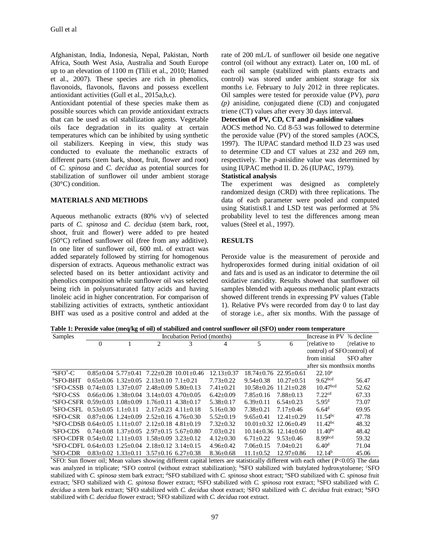Afghanistan, India, Indonesia, Nepal, Pakistan, North Africa, South West Asia, Australia and South Europe up to an elevation of 1100 m (Tlili et al., 2010; Hamed et al., 2007). These species are rich in phenolics, flavonoids, flavonols, flavons and possess excellent antioxidant activities (Gull et al., 2015a,b,c).

Antioxidant potential of these species make them as possible sources which can provide antioxidant extracts that can be used as oil stabilization agents. Vegetable oils face degradation in its quality at certain temperatures which can be inhibited by using synthetic oil stabilizers. Keeping in view, this study was conducted to evaluate the methanolic extracts of different parts (stem bark, shoot, fruit, flower and root) of *C. spinosa* and *C. decidua* as potential sources for stabilization of sunflower oil under ambient storage (30°C) condition.

#### **MATERIALS AND METHODS**

Aqueous methanolic extracts (80% v/v) of selected parts of *C. spinosa* and *C. decidua* (stem bark, root, shoot, fruit and flower) were added to pre heated (50°C) refined sunflower oil (free from any additive). In one liter of sunflower oil, 600 mL of extract was added separately followed by stirring for homogenous dispersion of extracts. Aqueous methanolic extract was selected based on its better antioxidant activity and phenolics composition while sunflower oil was selected being rich in polyunsaturated fatty acids and having linoleic acid in higher concentration. For comparison of stabilizing activities of extracts, synthetic antioxidant BHT was used as a positive control and added at the

rate of 200 mL/L of sunflower oil beside one negative control (oil without any extract). Later on, 100 mL of each oil sample (stabilized with plants extracts and control) was stored under ambient storage for six months i.e. February to July 2012 in three replicates. Oil samples were tested for peroxide value (PV), *para (p)* anisidine, conjugated diene (CD) and conjugated triene (CT) values after every 30 days interval.

# **Detection of PV, CD, CT and** *p-***anisidine values**

AOCS method No. Cd 8-53 was followed to determine the peroxide value (PV) of the stored samples (AOCS, 1997). The IUPAC standard method II.D 23 was used to determine CD and CT values at 232 and 269 nm, respectively. The *p-*anisidine value was determined by using IUPAC method II. D. 26 (IUPAC, 1979).

#### **Statistical analysis**

The experiment was designed as completely randomized design (CRD) with three replications. The data of each parameter were pooled and computed using Statistix8.1 and LSD test was performed at 5% probability level to test the differences among mean values (Steel et al*.*, 1997).

#### **RESULTS**

Peroxide value is the measurement of peroxide and hydroperoxides formed during initial oxidation of oil and fats and is used as an indicator to determine the oil oxidative rancidity. Results showed that sunflower oil samples blended with aqueous methanolic plant extracts showed different trends in expressing PV values (Table 1). Relative PVs were recorded from day 0 to last day of storage i.e., after six months. With the passage of

| Table 1: Peroxide value (meq/kg of oil) of stabilized and control sunflower oil (SFO) under room temperature |  |
|--------------------------------------------------------------------------------------------------------------|--|
|--------------------------------------------------------------------------------------------------------------|--|

| Samples                                                 |                      |                           |                                                                 | Incubation Period (months)                 |                 |               |                               | Increase in PV % decline    |              |
|---------------------------------------------------------|----------------------|---------------------------|-----------------------------------------------------------------|--------------------------------------------|-----------------|---------------|-------------------------------|-----------------------------|--------------|
|                                                         | $\Omega$             |                           | $\mathfrak{D}$                                                  | 3                                          | 4               | 5             | 6                             | (relative to                | (relative to |
|                                                         |                      |                           |                                                                 |                                            |                 |               |                               | control) of SFO control) of |              |
|                                                         |                      |                           |                                                                 |                                            |                 |               |                               | from initial                | SFO after    |
|                                                         |                      |                           |                                                                 |                                            |                 |               |                               | after six monthssix months  |              |
| ${}^{\mathrm{a}}\mathrm{SFO}^{*}-\mathrm{C}$            |                      |                           |                                                                 | $0.85+0.04$ 5.77+0.41 7.22+0.28 10.01+0.46 | $12.13 + 0.37$  |               | $18.74 + 0.76$ 22.95 + 0.61   | $22.10^a$                   |              |
| $b$ SFO-BHT                                             |                      |                           | $0.65+0.06$ 1.32+0.05 2.13+0.10 7.1+0.21                        |                                            | $7.73 + 0.22$   | $9.54 + 0.38$ | $10.27 + 0.51$                | 9.62 <sub>bcd</sub>         | 56.47        |
| <b>SFO-CSSB</b>                                         |                      |                           | $0.74+0.03$ 1.37+0.07 2.48+0.09 5.80+0.13                       |                                            | $7.41 + 0.21$   |               | $10.58 + 0.26$ $11.21 + 0.28$ | 10.47 <sup>bcd</sup>        | 52.62        |
| ${}^{d}$ SFO-CSS                                        |                      |                           | $0.66+0.06$ 1.38+0.04 3.14+0.03 4.70+0.05                       |                                            | $6.42 \pm 0.09$ | $7.85 + 0.16$ | $7.88 + 0.13$                 | 7.22 <sup>cd</sup>          | 67.33        |
| °SEO-CSER                                               |                      | $0.59 + 0.03$ 1.08 + 0.09 | $1.76 + 0.11$ $4.38 + 0.17$                                     |                                            | $5.38 \pm 0.17$ | $6.39+0.11$   | $6.54 + 0.23$                 | $5.95^{\rm d}$              | 73.07        |
| <sup>f</sup> SFO-CSFL                                   | $0.53+0.05$ 1.1+0.11 |                           | $2.17+0.23$ 4.11+0.18                                           |                                            | $5.16 + 0.30$   | $7.38 + 0.21$ | $7.17 + 0.46$                 | 6.64 <sup>d</sup>           | 69.95        |
| <b>ESFO-CSR</b>                                         |                      | $0.87+0.06$ 1.24+0.09     | $2.52+0.16$ 4.76+0.30                                           |                                            | $5.52+0.19$     | $9.65 + 0.41$ | $12.41 + 0.29$                | $11.54^{bc}$                | 47.78        |
| $^{h}$ SFO-CDSB 0.64+0.05 1.11+0.07 2.12+0.18 4.81+0.19 |                      |                           |                                                                 |                                            | $7.32 \pm 0.32$ |               | $10.01 + 0.32$ $12.06 + 0.49$ | $11.42^{bc}$                | 48.32        |
| 'SFO-CDS                                                |                      |                           | $0.74+0.08$ 1.37+0.05 2.97+0.15 5.67+0.80                       |                                            | $7.03+0.21$     |               | $10.14+0.36$ $12.14+0.60$     | $11.40^{bc}$                | 48.42        |
| iSFO-CDFR 0.54+0.02 1.11+0.03                           |                      |                           | $1.58 + 0.09$ 3.23+0.12                                         |                                            | $4.12 + 0.30$   | $6.71 + 0.22$ | $9.53 + 0.46$                 | 8.99 <sub>bcd</sub>         | 59.32        |
| $KSPO-CDFL$ 0.64+0.03 1.25+0.04                         |                      |                           | $2.18+0.12$ 3.14+0.15                                           |                                            | $4.96 \pm 0.42$ | $7.06 + 0.15$ | $7.04 + 0.21$                 | 6.40 <sup>d</sup>           | 71.04        |
| 'SFO-CDR                                                |                      |                           | $0.83 \pm 0.02$ $1.33 \pm 0.11$ $3.57 \pm 0.16$ $6.27 \pm 0.38$ |                                            | $8.36 \pm 0.68$ | $11.1 + 0.52$ | $12.97+0.86$                  | 12.14 <sup>b</sup>          | 45.06        |

\*SFO: Sun flower oil; Mean values showing different capital letters are statistically different with each other (P<0.05) The data was analyzed in triplicate; <sup>a</sup>SFO control (without extract stabilization); <sup>b</sup>SFO stabilized with butylated hydroxytoluene; <sup>c</sup>SFO stabilized with *C. spinosa* stem bark extract; <sup>d</sup>SFO stabilized with *C. spinosa* shoot extract; <sup>e</sup>SFO stabilized with *C. spinosa* fruit extract; <sup>f</sup>SFO stabilized with *C. spinosa* flower extract; <sup>g</sup>SFO stabilized with *C. spinosa* root extract; <sup>h</sup>SFO stabilized with *C. decidua* a stem bark extract; <sup>i</sup>SFO stabilized with *C. decidua* shoot extract; <sup>j</sup>SFO stabilized with *C. decidua* fruit extract; <sup>k</sup>SFO stabilized with *C. decidua* flower extract; <sup>l</sup>SFO stabilized with *C. decidua* root extract.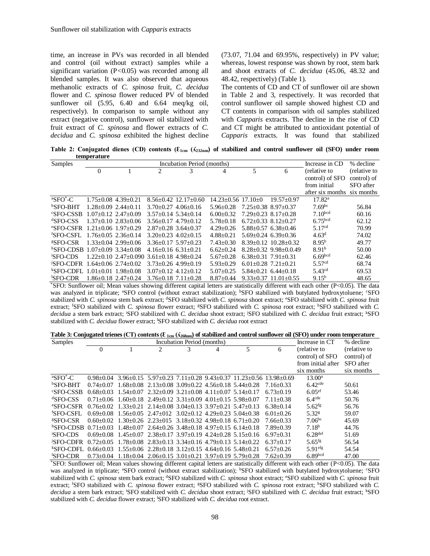time, an increase in PVs was recorded in all blended and control (oil without extract) samples while a significant variation (P*<*0.05) was recorded among all blended samples. It was also observed that aqueous methanolic extracts of *C. spinosa* fruit, *C. decidua* flower and *C. spinosa* flower reduced PV of blended sunflower oil (5.95, 6.40 and 6.64 meq/kg oil, respectively). In comparison to sample without any extract (negative control), sunflower oil stabilized with fruit extract of *C. spinosa* and flower extracts of *C. decidua* and *C. spinosa* exhibited the highest decline (73.07, 71.04 and 69.95%, respectively) in PV value; whereas, lowest response was shown by root, stem bark and shoot extracts of *C. decidua* (45.06, 48.32 and 48.42, respectively) (Table 1).

The contents of CD and CT of sunflower oil are shown in Table 2 and 3, respectively. It was recorded that control sunflower oil sample showed highest CD and CT contents in comparison with oil samples stabilized with *Capparis* extracts. The decline in the rise of CD and CT might be attributed to antioxidant potential of *Capparis* extracts. It was found that stabilized

**Table 2: Conjugated dienes (CD) contents (Ɛ1cm (ʎ232nm) of stabilized and control sunflower oil (SFO) under room temperature**

| Samples                             |              |                                                  |                             | Increase in CD           | % decline              |                           |                             |                      |              |
|-------------------------------------|--------------|--------------------------------------------------|-----------------------------|--------------------------|------------------------|---------------------------|-----------------------------|----------------------|--------------|
|                                     | $\mathbf{0}$ |                                                  | $\overline{c}$              | 3                        | 4                      | 5                         | 6                           | (relative to         | (relative to |
|                                     |              |                                                  |                             |                          |                        |                           |                             | control) of SFO      | control) of  |
|                                     |              |                                                  |                             |                          |                        |                           |                             | from initial         | SFO after    |
|                                     |              |                                                  |                             |                          |                        |                           |                             | after six months     | six months   |
| ${}^{\mathrm{a}}\mathrm{SFO}^*$ -C  |              | $1.75+0.08$ 4.39+0.21                            |                             | $8.56 + 0.42$ 12.17+0.60 | $14.23 + 0.56$ 17.10+0 |                           | $19.57+0.97$                | 17.82 <sup>a</sup>   |              |
| <sup>b</sup> SFO-BHT                |              | $1.28 + 0.09$ $2.44 + 0.11$                      |                             | $3.70+0.27$ 4.06+0.16    | $5.96 + 0.28$          | $7.25 + 0.38$ 8.97+0.37   |                             | $7.69$ <sup>bc</sup> | 56.84        |
| <b>SFO-CSSB</b>                     |              | $1.07+0.12$ 2.47+0.09                            | $3.57+0.14$ $5.34+0.14$     |                          | $6.00+0.32$            | $7.29 + 0.23$ 8.17+0.28   |                             | 7.10 <sup>bcd</sup>  | 60.16        |
| ${}^{d}$ SFO-CSS                    |              | $1.37+0.10$ $2.83+0.06$                          |                             | $3.56+0.17$ 4.79+0.12    | $5.78 + 0.18$          | $6.72+0.33$ $8.12+0.27$   |                             | 6.75 <sup>bcd</sup>  | 62.12        |
| <b><i>eSFO-CSFR</i></b>             |              | $1.21 + 0.06$ $1.97 + 0.29$                      | $2.87+0.28$ 3.64+0.37       |                          | $4.29 + 0.26$          |                           | $5.88 + 0.57$ 6.38 + 0.46   | 5.17 <sup>cd</sup>   | 70.99        |
| <sup>f</sup> SFO-CSFL               |              | $1.76 + 0.05$ $2.36 + 0.14$                      | $3.20+0.23$ 4.02+0.15       |                          | $4.88 + 0.21$          |                           | $5.69+0.24$ 6.39+0.36       | 4.63 <sup>d</sup>    | 74.02        |
| <b><i>SSFO-CSR</i></b>              |              | $1.33+0.04$ 2.99+0.06                            | $3.36+0.17$ $5.97+0.23$     |                          | $7.43 + 0.30$          |                           | $8.39+0.12$ 10.28+0.32      | $8.95^{b}$           | 49.77        |
| $^{h}$ SFO-CDSB 1.07+0.09 3.34+0.08 |              |                                                  | $4.16+0.16$ 6.31+0.21       |                          | $6.62+0.24$            |                           | $8.28 + 0.32$ 9.98 + 0.0.49 | 8.91 <sup>b</sup>    | 50.00        |
| <b>SFO-CDS</b>                      |              | $1.22+0.10$ $2.47+0.090$ $3.61+0.18$ $4.98+0.24$ |                             |                          | $5.67+0.28$            | $6.38 + 0.31$ 7.91 + 0.31 |                             | 6.69 <sub>bcd</sub>  | 62.46        |
| JSFO-CDFR_                          |              | $1.64 + 0.06$ $2.74 + 0.02$                      |                             | $3.73+0.26$ 4.99+0.19    | $5.93+0.29$            | $6.01 + 0.28$ 7.21 + 0.21 |                             | 5.57 <sup>cd</sup>   | 68.74        |
| <sup>k</sup> SFO-CDFL               |              | $1.01 + 0.01$ $1.98 + 0.08$                      | $3.07+0.12$ 4.12+0.12       |                          | $5.07+0.25$            |                           | $5.84+0.21$ 6.44+0.18       | $5.43^{cd}$          | 69.53        |
| 'SFO-CDR                            |              | $1.86 + 0.18$ $2.47 + 0.24$                      | $3.76 + 0.18$ $7.11 + 0.28$ |                          | $8.87+0.44$            |                           | $9.33+0.37$ 11.01 + 0.55    | $9.15^{b}$           | 48.65        |

\*SFO: Sunflower oil; Mean values showing different capital letters are statistically different with each other (P<0.05). The data was analyzed in triplicate; <sup>a</sup>SFO control (without extract stabilization); <sup>b</sup>SFO stabilized with butylated hydroxytoluene; <sup>c</sup>SFO stabilized with *C. spinosa* stem bark extract; <sup>d</sup>SFO stabilized with *C. spinosa* shoot extract; <sup>e</sup>SFO stabilized with *C. spinosa* fruit extract; <sup>f</sup>SFO stabilized with *C. spinosa* flower extract; <sup>g</sup>SFO stabilized with *C. spinosa* root extract; <sup>h</sup>SFO stabilized with *C. decidua* a stem bark extract; <sup>i</sup>SFO stabilized with *C. decidua* shoot extract; <sup>j</sup>SFO stabilized with *C. decidua* fruit extract; <sup>k</sup>SFO stabilized with *C. decidua* flower extract; <sup>l</sup>SFO stabilized with *C. decidua* root extract

|  |  |  | Table 3: Conjugated trienes (CT) contents ( $\epsilon_{1cm}$ ( $\lambda_{268nm}$ ) of stabilized and control sunflower oil (SFO) under room temperature |  |
|--|--|--|---------------------------------------------------------------------------------------------------------------------------------------------------------|--|
|--|--|--|---------------------------------------------------------------------------------------------------------------------------------------------------------|--|

| Samples                         |               |                                                                                                 |                                                                   | Increase in CT | % decline |                                                                           |               |                       |              |
|---------------------------------|---------------|-------------------------------------------------------------------------------------------------|-------------------------------------------------------------------|----------------|-----------|---------------------------------------------------------------------------|---------------|-----------------------|--------------|
|                                 | $\Omega$      |                                                                                                 | $\mathcal{D}_{\mathcal{L}}$                                       | 3              | 4         | 5                                                                         | 6             | (relative to          | (relative to |
|                                 |               |                                                                                                 |                                                                   |                |           |                                                                           |               | control) of SFO       | control) of  |
|                                 |               |                                                                                                 |                                                                   |                |           |                                                                           |               | from initial after    | SFO after    |
|                                 |               |                                                                                                 |                                                                   |                |           |                                                                           |               | six months            | six months   |
| $\mathrm{{}^{a}SFO}^{\ast}$ -C  | $0.98 + 0.04$ |                                                                                                 |                                                                   |                |           | $3.96+0.15$ $5.97+0.23$ $7.11+0.28$ $9.43+0.37$ $11.23+0.56$ $13.98+0.69$ |               | $13.00^a$             |              |
| $b$ SFO-BHT                     | $0.74 + 0.07$ |                                                                                                 | $1.68+0.08$ 2.13+0.08 3.09+0.22 4.56+0.18 5.44+0.28               |                |           |                                                                           | $7.16 + 0.33$ | $6.42$ <sup>cde</sup> | 50.61        |
| <b>SFO-CSSB</b>                 | $0.68 + 0.03$ |                                                                                                 | $1.54+0.07$ $2.32+0.09$ $3.21+0.08$ $4.11+0.07$ $5.14+0.17$       |                |           |                                                                           | $6.73+0.19$   | $6.05$ <sup>ef</sup>  | 53.46        |
| ${}^{d}$ SFO-CSS                | $0.71 + 0.06$ | $1.60+0.18$ 2.49+0.12 3.31+0.09 4.01+0.15 5.98+0.07                                             |                                                                   |                |           |                                                                           | $7.11 + 0.38$ | $6.4$ <sup>cde</sup>  | 50.76        |
| <b><i>esfo-CSFR</i></b>         |               | $0.76+0.02$ $1.33+0.21$ $2.14+0.08$ $3.04+0.13$ $3.97+0.21$ $5.47+0.13$                         |                                                                   |                |           |                                                                           | $6.38+0.14$   | $5.62$ <sup>fg</sup>  | 56.76        |
| <sup>f</sup> SFO-CSFL           | $0.69 + 0.08$ |                                                                                                 | $1.56+0.05$ $2.47+012$ $3.02+0.12$ $4.29+0.23$ $5.04+0.38$        |                |           |                                                                           | $6.01 + 0.26$ | 5.32g                 | 59.07        |
| <b>ESFO-CSR</b>                 |               | $0.60+0.02$ 1.30+0.26 2.23+015 3.18+0.32 4.98+0.18 6.71+0.20                                    |                                                                   |                |           |                                                                           | $7.66 + 0.33$ | 7.06 <sup>bc</sup>    | 45.69        |
| ${}^{\rm h}$ SFO-CDSB 0.71+0.03 |               |                                                                                                 | $1.48 + 0.07$ $2.64 + 0.26$ $3.48 + 0.18$ $4.97 + 0.15$ 6.14+0.18 |                |           |                                                                           | $7.89 + 0.39$ | 7.18 <sup>b</sup>     | 44.76        |
| <b>SFO-CDS</b>                  | $0.69 + 0.08$ | $1.45+0.07$ $2.38+0.17$ $3.97+0.19$ $4.24+0.28$ $5.15+0.16$                                     |                                                                   |                |           |                                                                           | $6.97+0.31$   | $6.28$ def            | 51.69        |
| <b>JSFO-CDFR</b>                | $0.72 + 0.05$ |                                                                                                 | $1.78+0.08$ $2.83+0.13$ $3.34+0.16$ $4.79+0.13$ $5.14+0.22$       |                |           |                                                                           | $6.37+0.17$   | $5.65$ <sup>fg</sup>  | 56.54        |
| <b>KSFO-CDFL</b>                | $0.66 + 0.03$ |                                                                                                 | 1.55+0.06 2.28+0.18 3.12+0.15 4.64+0.16 5.48+0.21                 |                |           |                                                                           | $6.57+0.26$   | $5.91$ <sup>efg</sup> | 54.54        |
| <b>SFO-CDR</b>                  |               | $0.73 \pm 0.04$ 1.18 $\pm$ 0.04 2.06 $\pm$ 0.15 3.01 $\pm$ 0.21 3.97 $\pm$ 0.19 5.79 $\pm$ 0.28 |                                                                   |                |           |                                                                           | $7.62 + 0.39$ | 6.89 <sub>bcd</sub>   | 47.00        |

\*SFO: Sunflower oil; Mean values showing different capital letters are statistically different with each other (P<0.05). The data was analyzed in triplicate; <sup>a</sup>SFO control (without extract stabilization); <sup>b</sup>SFO stabilized with butylated hydroxytoluene; <sup>c</sup>SFO stabilized with *C. spinosa* stem bark extract; <sup>d</sup>SFO stabilized with *C. spinosa* shoot extract; <sup>e</sup>SFO stabilized with *C. spinosa* fruit extract; <sup>f</sup>SFO stabilized with *C. spinosa* flower extract; <sup>g</sup>SFO stabilized with *C. spinosa* root extract; <sup>h</sup>SFO stabilized with *C. decidua* a stem bark extract; <sup>i</sup>SFO stabilized with *C. decidua* shoot extract; <sup>j</sup>SFO stabilized with *C. decidua* fruit extract; <sup>k</sup>SFO stabilized with *C. decidua* flower extract; <sup>l</sup>SFO stabilized with *C. decidua* root extract.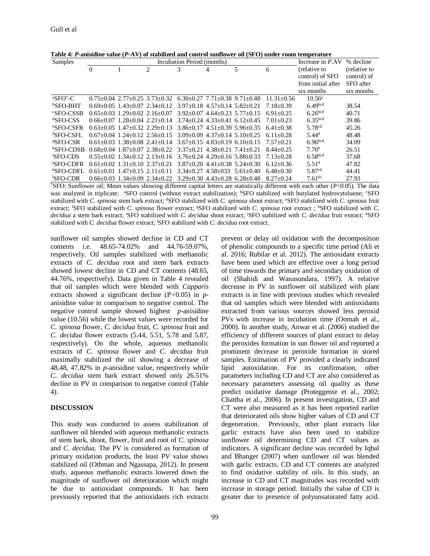| Samples                 | Incubation Period (months)<br>Increase in P.AV |                                       |                                                 |                                     |                                     |                                                 |                |                     | % decline    |
|-------------------------|------------------------------------------------|---------------------------------------|-------------------------------------------------|-------------------------------------|-------------------------------------|-------------------------------------------------|----------------|---------------------|--------------|
|                         | $\theta$                                       |                                       | 2                                               | 3                                   | 4                                   | 5                                               | 6              | (relative to        | (relative to |
|                         |                                                |                                       |                                                 |                                     |                                     |                                                 |                | control) of SFO     | control) of  |
|                         |                                                |                                       |                                                 |                                     |                                     |                                                 |                | from initial after  | SFO after    |
|                         |                                                |                                       |                                                 |                                     |                                     |                                                 |                | six months          | six months   |
| $\mathrm{aSFO}^*$ -C    |                                                |                                       | $0.75+0.04$ 2.77+0.25 3.73+0.32                 | $6.30+0.27$ 7.71+0.38 9.71+0.48     |                                     |                                                 | $11.31 + 0.56$ | $10.56^{\circ}$     |              |
| <b>bSFO-BHT</b>         |                                                |                                       | $0.69 + 0.05$ 1.43+0.07 2.34+0.12               |                                     | $3.97+0.18$ 4.57+0.14 5.82+0.21     |                                                 | $7.18 + 0.39$  | 6.49 <sub>bcd</sub> | 38.54        |
| <b>SFO-CSSB</b>         |                                                |                                       | $0.65+0.03$ 1.29+0.02 2.16+0.07                 |                                     | $3.92+0.07$ 4.64+0.23 5.77+0.15     |                                                 | $6.91 + 0.25$  | 6.26 <sup>bcd</sup> | 40.71        |
| ${}^{d}SFO-CSS$         |                                                |                                       | $0.66 \pm 0.07$ 1.28 $\pm 0.04$ 2.21 $\pm 0.14$ |                                     |                                     | $3.74 \pm 0.24$ $4.33 \pm 0.41$ $6.12 \pm 0.45$ | $7.01 + 0.23$  | 6.35 <sup>bcd</sup> | 39.86        |
| <b><i>eSFO-CSFR</i></b> |                                                |                                       | $0.63+0.05$ 1.47+0.32 2.29+0.13                 |                                     |                                     | $3.86+0.17$ $4.51+0.39$ $5.96+0.35$             | $6.41 + 0.38$  | 5.78 <sup>cd</sup>  | 45.26        |
| <sup>f</sup> SFO-CSFL   |                                                |                                       | $0.67+0.04$ 1.24+0.12 2.56+0.15                 |                                     |                                     | $3.09 + 0.09$ 4.37+0.14 5.10+0.25               | $6.11 + 0.28$  | 5.44 <sup>d</sup>   | 48.48        |
| <b><i>¤SFO-CSR</i></b>  |                                                |                                       | $0.61 + 0.03$ 1.38+0.08 2.41+0.14               |                                     |                                     | $3.67+0.15$ 4.83+0.19 6.10+0.15                 | $7.57+0.21$    | 6.96 <sup>bcd</sup> | 34.09        |
| hSFO-CDSB               |                                                |                                       | $0.68+0.04$ 1.87+0.07 2.38+0.22                 | $3.37+0.21$ $4.38+0.21$ $7.41+0.21$ |                                     |                                                 | $8.44 + 0.25$  | 7.76 <sup>b</sup>   | 26.51        |
| <b>SFO-CDS</b>          |                                                |                                       | $0.55+0.02$ 1.34+0.12 2.13+0.16                 |                                     | $3.76 + 0.24$ 4.29+0.16 5.88+0.33   |                                                 | $7.13 + 0.28$  | 6.58 <sup>bcd</sup> | 37.68        |
| <b>SFO-CDFR</b>         |                                                | $0.61 + 0.02$ 1.31 + 0.10 2.37 + 0.21 |                                                 |                                     | $3.87+0.20$ $4.41+0.38$ $5.24+0.30$ |                                                 | $6.12 + 0.36$  | 5.51 <sup>d</sup>   | 47.82        |
| <b><i>kSFO-CDFL</i></b> |                                                | $0.61+0.01$ 1.47+0.15 2.11+0.11       |                                                 |                                     | $3.34+0.27$ $4.58+0.33$             | $5.61 + 0.40$                                   | $6.48 + 0.30$  | 5.87 $^{cd}$        | 44.41        |
| <sup>1</sup> SFO-CDR    |                                                |                                       | $0.66 + 0.03$ $1.34 \pm 0.09$ $2.34 \pm 0.22$   | $3.29 + 0.30$ 4.43+0.28 6.28+0.48   |                                     |                                                 | $8.27+0.24$    | $7.61^{bc}$         | 27.93        |

**Table 4:** *P***-anisidine value (***P***-AV) of stabilized and control sunflower oil (SFO) under room temperature**

\*SFO: Sunflower oil; Mean values showing different capital letters are statistically different with each other (P<0.05). The data was analyzed in triplicate; <sup>a</sup>SFO control (without extract stabilization); <sup>b</sup>SFO stabilized with butylated hydroxytoluene; <sup>c</sup>SFO stabilized with *C. spinosa* stem bark extract; <sup>d</sup>SFO stabilized with *C. spinosa* shoot extract; <sup>e</sup>SFO stabilized with *C. spinosa* fruit extract; <sup>f</sup>SFO stabilized with *C. spinosa* flower extract; <sup>g</sup>SFO stabilized with *C. spinosa* root extract ; <sup>h</sup>SFO stabilized with *C. decidua* a stem bark extract; <sup>i</sup>SFO stabilized with *C. decidua* shoot extract; <sup>j</sup>SFO stabilized with *C. decidua* fruit extract; <sup>k</sup>SFO stabilized with *C. decidua* flower extract; <sup>l</sup>SFO stabilized with *C. decidua* root extract.

sunflower oil samples showed decline in CD and CT contents i.e. 48.65-74.02% and 44.76-59.07%, respectively. Oil samples stabilized with methanolic extracts of *C. decidua* root and stem bark extracts showed lowest decline in CD and CT contents (48.65, 44.76%, respectively). Data given in Table 4 revealed that oil samples which were blended with *Capparis* extracts showed a significant decline (P*<*0.05) in *p*anisidine value in comparison to negative control. The negative control sample showed highest *p*-anisidine value (10.56) while the lowest values were recorded for *C. spinosa* flower, *C. decidua* fruit, *C. spinosa* fruit and *C. decidua* flower extracts (5.44, 5.51, 5.78 and 5.87, respectively). On the whole, aqueous methanolic extracts of *C. spinosa* flower and *C. decidua* fruit maximally stabilized the oil showing a decrease of 48.48, 47.82% in *p*-anisidine value, respectively while *C. decidua* stem bark extract showed only 26.51% decline in PV in comparison to negative control (Table 4).

#### **DISCUSSION**

This study was conducted to assess stabilization of sunflower oil blended with aqueous methanolic extracts of stem bark, shoot, flower, fruit and root of *C. spinosa* and *C. decidua*. The PV is considered as formation of primary oxidation products, the least PV value shows stabilized oil (Othman and Ngassapa, 2012). In present study, aqueous methanolic extracts lowered down the magnitude of sunflower oil deterioration which might be due to antioxidant compounds. It has been previously reported that the antioxidants rich extracts

prevent or delay oil oxidation with the decomposition of phenolic compounds to a specific time period (Ali et al. 2016; Rubilar et al. 2012). The antioxidant extracts have been used which are effective over a long period of time towards the primary and secondary oxidation of oil (Shahidi and Wanasundara, 1997). A relative decrease in PV in sunflower oil stabilized with plant extracts is in line with previous studies which revealed that oil samples which were blended with antioxidants extracted from various sources showed less peroxid PVs with increase in incubation time (Oomah et al., 2000). In another study, Anwar et al. (2006) studied the efficiency of different sources of plant extract to delay the peroxides formation in sun flower oil and reported a prominent decrease in peroxide formation in stored samples. Estimation of PV provided a clearly indicated lipid autoxidation. For its confirmation, other parameters including CD and CT are also considered as necessary parameters assessing oil quality as these predict oxidative damage (Proteggente et al., 2002; Chattha et al.*,* 2006). In present investigation, CD and CT were also measured as it has been reported earlier that deteriorated oils show higher values of CD and CT degeneration. Previously, other plant extracts like garlic extracts have also been used to stabilize sunflower oil determining CD and CT values as indicators. A significant decline was recorded by Iqbal and Bhanger (2007) when sunflower oil was blended with garlic extracts. CD and CT contents are analyzed to find oxidative stability of oils. In this study, an increase in CD and CT magnitudes was recorded with increase in storage period. Initially the value of CD is greater due to presence of polyunsaturated fatty acid.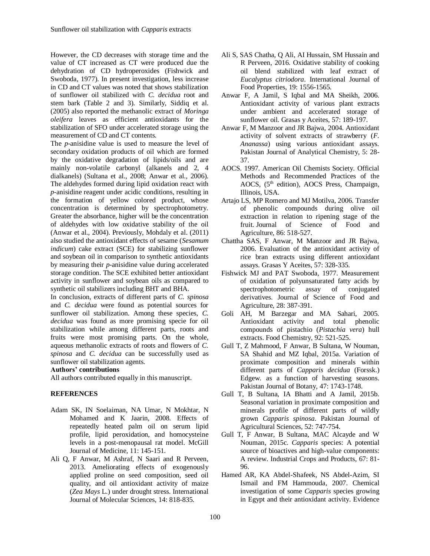However, the CD decreases with storage time and the value of CT increased as CT were produced due the dehydration of CD hydroperoxides (Fishwick and Swoboda, 1977). In present investigation, less increase in CD and CT values was noted that shows stabilization of sunflower oil stabilized with *C. decidua* root and stem bark (Table 2 and 3). Similarly, Siddiq et al. (2005) also reported the methanolic extract of *Moringa oleifera* leaves as efficient antioxidants for the stabilization of SFO under accelerated storage using the measurement of CD and CT contents.

The *p*-anisidine value is used to measure the level of secondary oxidation products of oil which are formed by the oxidative degradation of lipids/oils and are mainly non-volatile carbonyl (alkanels and 2, 4 dialkanels) (Sultana et al., 2008; Anwar et al., 2006). The aldehydes formed during lipid oxidation react with *p*-anisidine reagent under acidic conditions, resulting in the formation of yellow colored product, whose concentration is determined by spectrophotometry. Greater the absorbance, higher will be the concentration of aldehydes with low oxidative stability of the oil (Anwar et al., 2004). Previously, Mohdaly et al. (2011) also studied the antioxidant effects of sesame (*Sesamum indicum*) cake extract (SCE) for stabilizing sunflower and soybean oil in comparison to synthetic antioxidants by measuring their *p*-anisidine value during accelerated storage condition. The SCE exhibited better antioxidant activity in sunflower and soybean oils as compared to synthetic oil stabilizers including BHT and BHA.

In conclusion, extracts of different parts of *C. spinosa* and *C. decidua* were found as potential sources for sunflower oil stabilization. Among these species, *C. decidua* was found as more promising specie for oil stabilization while among different parts, roots and fruits were most promising parts. On the whole, aqueous methanolic extracts of roots and flowers of *C. spinosa* and *C. decidua* can be successfully used as sunflower oil stabilization agents.

#### **Authors' contributions**

All authors contributed equally in this manuscript.

## **REFERENCES**

- Adam SK, IN Soelaiman, NA Umar, N Mokhtar, N Mohamed and K Jaarin, 2008. Effects of repeatedly heated palm oil on serum lipid profile, lipid peroxidation, and homocysteine levels in a post-menopausal rat model. McGill Journal of Medicine, 11: 145-151.
- Ali Q, F Anwar, M Ashraf, N Saari and R Perveen, 2013. Ameliorating effects of exogenously applied proline on seed composition, seed oil quality, and oil antioxidant activity of maize (*Zea Mays* L.) under drought stress. International Journal of Molecular Sciences, 14: 818-835.
- Ali S, SAS Chatha, Q Ali, AI Hussain, SM Hussain and R Perveen, 2016. Oxidative stability of cooking oil blend stabilized with leaf extract of *Eucalyptus citriodora*. International Journal of Food Properties, 19: 1556-1565.
- Anwar F, A Jamil, S Iqbal and MA Sheikh, 2006. Antioxidant activity of various plant extracts under ambient and accelerated storage of sunflower oil. Grasas y Aceites, 57: 189-197.
- Anwar F, M Manzoor and JR Bajwa, 2004. Antioxidant activity of solvent extracts of strawberry (*F. Ananassa*) using various antioxidant assays. Pakistan Journal of Analytical Chemistry, 5: 28- 37.
- AOCS. 1997. American Oil Chemists Society. Official Methods and Recommended Practices of the AOCS, (5<sup>th</sup> edition), AOCS Press, Champaign, Illinois, USA.
- Artajo LS, MP Romero and MJ Motilva, 2006. Transfer of phenolic compounds during olive oil extraction in relation to ripening stage of the fruit. Journal of Science of Food and Agriculture, 86: 518-527.
- Chattha SAS, F Anwar, M Manzoor and JR Bajwa, 2006. Evaluation of the antioxidant activity of rice bran extracts using different antioxidant assays. Grasas Y Aceites, 57: 328-335.
- Fishwick MJ and PAT Swoboda, 1977. Measurement of oxidation of polyunsaturated fatty acids by spectrophotometric assay of conjugated derivatives. Journal of Science of Food and Agriculture, 28: 387-391.
- Goli AH, M Barzegar and MA Sahari, 2005. Antioxidant activity and total phenolic compounds of pistachio (*Pistachia vera*) hull extracts. Food Chemistry, 92: 521-525.
- Gull T, Z Mahmood, F Anwar, B Sultana, W Nouman, SA Shahid and MZ Iqbal, 2015a. Variation of proximate composition and minerals within different parts of *Capparis decidua* (Forssk.) Edgew. as a function of harvesting seasons. Pakistan Journal of Botany, 47: 1743-1748.
- Gull T, B Sultana, IA Bhatti and A Jamil, 2015b. Seasonal variation in proximate composition and minerals profile of different parts of wildly grown *Capparis spinosa*. Pakistan Journal of Agricultural Sciences, 52: 747-754.
- Gull T, F Anwar, B Sultana, MAC Alcayde and W Nouman, 2015c. *Capparis* species: A potential source of bioactives and high-value components: A review. Industrial Crops and Products, 67: 81- 96.
- Hamed AR, KA Abdel-Shafeek, NS Abdel-Azim, SI Ismail and FM Hammouda, 2007. Chemical investigation of some *Capparis* species growing in Egypt and their antioxidant activity. Evidence